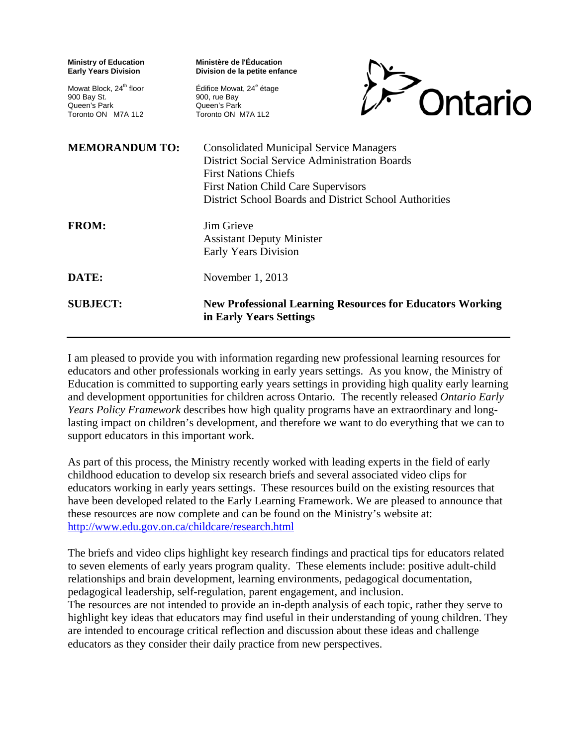| <b>Ministry of Education</b><br><b>Early Years Division</b>                              | Ministère de l'Éducation<br>Division de la petite enfance                                                                                                                                                                                     |
|------------------------------------------------------------------------------------------|-----------------------------------------------------------------------------------------------------------------------------------------------------------------------------------------------------------------------------------------------|
| Mowat Block, 24 <sup>th</sup> floor<br>900 Bay St.<br>Queen's Park<br>Toronto ON M7A 1L2 | Édifice Mowat, 24 <sup>e</sup> étage<br>Ontario<br>900, rue Bay<br>Queen's Park<br>Toronto ON M7A 1L2                                                                                                                                         |
| <b>MEMORANDUM TO:</b>                                                                    | <b>Consolidated Municipal Service Managers</b><br><b>District Social Service Administration Boards</b><br><b>First Nations Chiefs</b><br><b>First Nation Child Care Supervisors</b><br>District School Boards and District School Authorities |
| <b>FROM:</b>                                                                             | Jim Grieve<br><b>Assistant Deputy Minister</b><br><b>Early Years Division</b>                                                                                                                                                                 |
| DATE:                                                                                    | November 1, 2013                                                                                                                                                                                                                              |
| <b>SUBJECT:</b>                                                                          | <b>New Professional Learning Resources for Educators Working</b><br>in Early Years Settings                                                                                                                                                   |

I am pleased to provide you with information regarding new professional learning resources for educators and other professionals working in early years settings. As you know, the Ministry of Education is committed to supporting early years settings in providing high quality early learning and development opportunities for children across Ontario. The recently released *Ontario Early Years Policy Framework* describes how high quality programs have an extraordinary and longlasting impact on children's development, and therefore we want to do everything that we can to support educators in this important work.

As part of this process, the Ministry recently worked with leading experts in the field of early childhood education to develop six research briefs and several associated video clips for educators working in early years settings. These resources build on the existing resources that have been developed related to the Early Learning Framework. We are pleased to announce that these resources are now complete and can be found on the Ministry's website at: http://www.edu.gov.on.ca/childcare/research.html

The briefs and video clips highlight key research findings and practical tips for educators related to seven elements of early years program quality. These elements include: positive adult-child relationships and brain development, learning environments, pedagogical documentation, pedagogical leadership, self-regulation, parent engagement, and inclusion.

The resources are not intended to provide an in-depth analysis of each topic, rather they serve to highlight key ideas that educators may find useful in their understanding of young children. They are intended to encourage critical reflection and discussion about these ideas and challenge educators as they consider their daily practice from new perspectives.